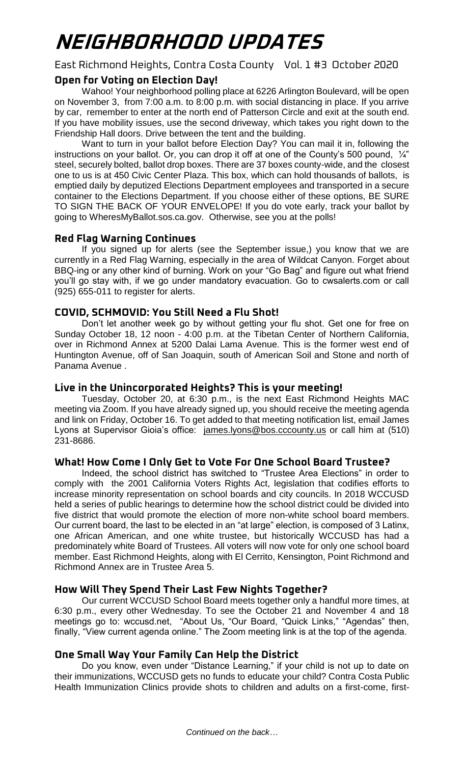# **NEIGHBORHOOD UPDATES**

East Richmond Heights, Contra Costa County Vol. 1 #3 October 2020

## **Open for Voting on Election Day!**

Wahoo! Your neighborhood polling place at 6226 Arlington Boulevard, will be open on November 3, from 7:00 a.m. to 8:00 p.m. with social distancing in place. If you arrive by car, remember to enter at the north end of Patterson Circle and exit at the south end. If you have mobility issues, use the second driveway, which takes you right down to the Friendship Hall doors. Drive between the tent and the building.

Want to turn in your ballot before Election Day? You can mail it in, following the instructions on your ballot. Or, you can drop it off at one of the County's 500 pound, ¼" steel, securely bolted, ballot drop boxes. There are 37 boxes county-wide, and the closest one to us is at 450 Civic Center Plaza. This box, which can hold thousands of ballots, is emptied daily by deputized Elections Department employees and transported in a secure container to the Elections Department. If you choose either of these options, BE SURE TO SIGN THE BACK OF YOUR ENVELOPE! If you do vote early, track your ballot by going to WheresMyBallot.sos.ca.gov. Otherwise, see you at the polls!

#### **Red Flag Warning Continues**

If you signed up for alerts (see the September issue,) you know that we are currently in a Red Flag Warning, especially in the area of Wildcat Canyon. Forget about BBQ-ing or any other kind of burning. Work on your "Go Bag" and figure out what friend you'll go stay with, if we go under mandatory evacuation. Go to cwsalerts.com or call (925) 655-011 to register for alerts.

## **COVID, SCHMOVID: You Still Need a Flu Shot!**

Don't let another week go by without getting your flu shot. Get one for free on Sunday October 18, 12 noon - 4:00 p.m. at the Tibetan Center of Northern California, over in Richmond Annex at 5200 Dalai Lama Avenue. This is the former west end of Huntington Avenue, off of San Joaquin, south of American Soil and Stone and north of Panama Avenue .

## **Live in the Unincorporated Heights? This is your meeting!**

Tuesday, October 20, at 6:30 p.m., is the next East Richmond Heights MAC meeting via Zoom. If you have already signed up, you should receive the meeting agenda and link on Friday, October 16. To get added to that meeting notification list, email James Lyons at Supervisor Gioia's office: [james.lyons@bos.cccounty.us](mailto:james.lyons@bos.cccounty.us) or call him at (510) 231-8686.

## **What! How Come I Only Get to Vote For One School Board Trustee?**

Indeed, the school district has switched to "Trustee Area Elections" in order to comply with the 2001 California Voters Rights Act, legislation that codifies efforts to increase minority representation on school boards and city councils. In 2018 WCCUSD held a series of public hearings to determine how the school district could be divided into five district that would promote the election of more non-white school board members. Our current board, the last to be elected in an "at large" election, is composed of 3 Latinx, one African American, and one white trustee, but historically WCCUSD has had a predominately white Board of Trustees. All voters will now vote for only one school board member. East Richmond Heights, along with El Cerrito, Kensington, Point Richmond and Richmond Annex are in Trustee Area 5.

## **How Will They Spend Their Last Few Nights Together?**

Our current WCCUSD School Board meets together only a handful more times, at 6:30 p.m., every other Wednesday. To see the October 21 and November 4 and 18 meetings go to: wccusd.net, "About Us, "Our Board, "Quick Links," "Agendas" then, finally, "View current agenda online." The Zoom meeting link is at the top of the agenda.

## **One Small Way Your Family Can Help the District**

Do you know, even under "Distance Learning," if your child is not up to date on their immunizations, WCCUSD gets no funds to educate your child? Contra Costa Public Health Immunization Clinics provide shots to children and adults on a first-come, first